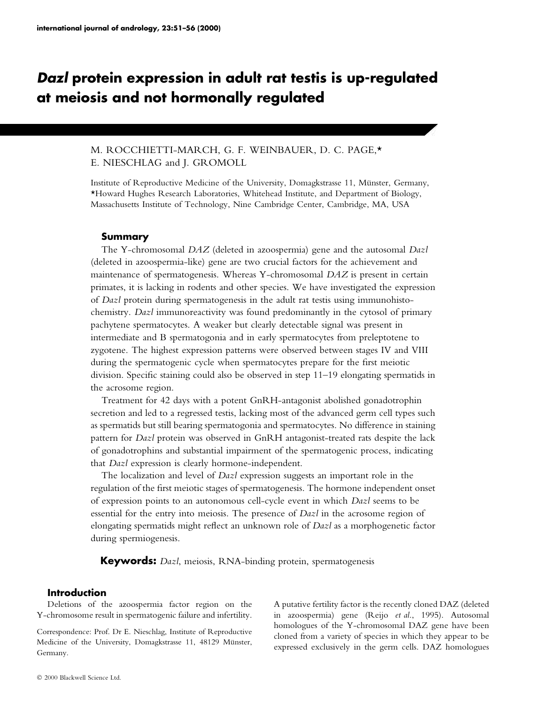# Dazl protein expression in adult rat testis is up-regulated at meiosis and not hormonally regulated

# M. ROCCHIETTI-MARCH, G. F. WEINBAUER, D. C. PAGE,\* E. NIESCHLAG and J. GROMOLL

Institute of Reproductive Medicine of the University, Domagkstrasse 11, Münster, Germany, \*Howard Hughes Research Laboratories, Whitehead Institute, and Department of Biology, Massachusetts Institute of Technology, Nine Cambridge Center, Cambridge, MA, USA

## Summary

The Y-chromosomal DAZ (deleted in azoospermia) gene and the autosomal Dazl (deleted in azoospermia-like) gene are two crucial factors for the achievement and maintenance of spermatogenesis. Whereas Y-chromosomal DAZ is present in certain primates, it is lacking in rodents and other species. We have investigated the expression of Dazl protein during spermatogenesis in the adult rat testis using immunohistochemistry. Dazl immunoreactivity was found predominantly in the cytosol of primary pachytene spermatocytes. A weaker but clearly detectable signal was present in intermediate and B spermatogonia and in early spermatocytes from preleptotene to zygotene. The highest expression patterns were observed between stages IV and VIII during the spermatogenic cycle when spermatocytes prepare for the first meiotic division. Specific staining could also be observed in step  $11-19$  elongating spermatids in the acrosome region.

Treatment for 42 days with a potent GnRH-antagonist abolished gonadotrophin secretion and led to a regressed testis, lacking most of the advanced germ cell types such as spermatids but still bearing spermatogonia and spermatocytes. No difference in staining pattern for Dazl protein was observed in GnRH antagonist-treated rats despite the lack of gonadotrophins and substantial impairment of the spermatogenic process, indicating that Dazl expression is clearly hormone-independent.

The localization and level of Dazl expression suggests an important role in the regulation of the first meiotic stages of spermatogenesis. The hormone independent onset of expression points to an autonomous cell-cycle event in which Dazl seems to be essential for the entry into meiosis. The presence of Dazl in the acrosome region of elongating spermatids might reflect an unknown role of  $Dazl$  as a morphogenetic factor during spermiogenesis.

Keywords: *Dazl*, meiosis, RNA-binding protein, spermatogenesis

# Introduction

Deletions of the azoospermia factor region on the Y-chromosome result in spermatogenic failure and infertility.

Correspondence: Prof. Dr E. Nieschlag, Institute of Reproductive Medicine of the University, Domagkstrasse 11, 48129 Münster, Germany.

A putative fertility factor is the recently cloned DAZ (deleted in azoospermia) gene (Reijo et al., 1995). Autosomal homologues of the Y-chromosomal DAZ gene have been cloned from a variety of species in which they appear to be expressed exclusively in the germ cells. DAZ homologues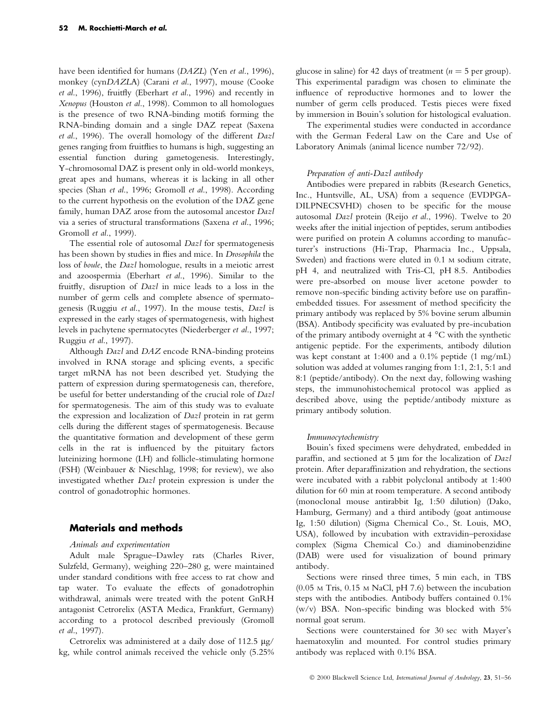have been identified for humans (DAZL) (Yen et al., 1996), monkey (cynDAZLA) (Carani et al., 1997), mouse (Cooke et al., 1996), fruitfly (Eberhart et al., 1996) and recently in Xenopus (Houston et al., 1998). Common to all homologues is the presence of two RNA-binding motifs forming the RNA-binding domain and a single DAZ repeat (Saxena et al., 1996). The overall homology of the different Dazl genes ranging from fruitflies to humans is high, suggesting an essential function during gametogenesis. Interestingly, Y-chromosomal DAZ is present only in old-world monkeys, great apes and humans, whereas it is lacking in all other species (Shan et al., 1996; Gromoll et al., 1998). According to the current hypothesis on the evolution of the DAZ gene family, human DAZ arose from the autosomal ancestor Dazl via a series of structural transformations (Saxena et al., 1996; Gromoll et al., 1999).

The essential role of autosomal Dazl for spermatogenesis has been shown by studies in flies and mice. In Drosophila the loss of boule, the Dazl homologue, results in a meiotic arrest and azoospermia (Eberhart et al., 1996). Similar to the fruitfly, disruption of Dazl in mice leads to a loss in the number of germ cells and complete absence of spermatogenesis (Ruggiu et al., 1997). In the mouse testis, Dazl is expressed in the early stages of spermatogenesis, with highest levels in pachytene spermatocytes (Niederberger et al., 1997; Ruggiu et al., 1997).

Although *Dazl* and *DAZ* encode RNA-binding proteins involved in RNA storage and splicing events, a specific target mRNA has not been described yet. Studying the pattern of expression during spermatogenesis can, therefore, be useful for better understanding of the crucial role of Dazl for spermatogenesis. The aim of this study was to evaluate the expression and localization of Dazl protein in rat germ cells during the different stages of spermatogenesis. Because the quantitative formation and development of these germ cells in the rat is influenced by the pituitary factors luteinizing hormone (LH) and follicle-stimulating hormone (FSH) (Weinbauer & Nieschlag, 1998; for review), we also investigated whether Dazl protein expression is under the control of gonadotrophic hormones.

## Materials and methods

#### Animals and experimentation

Adult male Sprague-Dawley rats (Charles River, Sulzfeld, Germany), weighing 220-280 g, were maintained under standard conditions with free access to rat chow and tap water. To evaluate the effects of gonadotrophin withdrawal, animals were treated with the potent GnRH antagonist Cetrorelix (ASTA Medica, Frankfurt, Germany) according to a protocol described previously (Gromoll et al., 1997).

Cetrorelix was administered at a daily dose of 112.5  $\mu$ g/ kg, while control animals received the vehicle only (5.25% glucose in saline) for 42 days of treatment ( $n = 5$  per group). This experimental paradigm was chosen to eliminate the influence of reproductive hormones and to lower the number of germ cells produced. Testis pieces were fixed by immersion in Bouin's solution for histological evaluation.

The experimental studies were conducted in accordance with the German Federal Law on the Care and Use of Laboratory Animals (animal licence number 72/92).

#### Preparation of anti-Dazl antibody

Antibodies were prepared in rabbits (Research Genetics, Inc., Huntsville, AL, USA) from a sequence (EVDPGA-DILPNECSVHD) chosen to be specific for the mouse autosomal Dazl protein (Reijo et al., 1996). Twelve to 20 weeks after the initial injection of peptides, serum antibodies were purified on protein A columns according to manufacturer's instructions (Hi-Trap, Pharmacia Inc., Uppsala, Sweden) and fractions were eluted in 0.1 M sodium citrate, pH 4, and neutralized with Tris-Cl, pH 8.5. Antibodies were pre-absorbed on mouse liver acetone powder to remove non-specific binding activity before use on paraffinembedded tissues. For assessment of method specificity the primary antibody was replaced by 5% bovine serum albumin (BSA). Antibody specificity was evaluated by pre-incubation of the primary antibody overnight at 4 °C with the synthetic antigenic peptide. For the experiments, antibody dilution was kept constant at 1:400 and a 0.1% peptide (1 mg/mL) solution was added at volumes ranging from 1:1, 2:1, 5:1 and 8:1 (peptide/antibody). On the next day, following washing steps, the immunohistochemical protocol was applied as described above, using the peptide/antibody mixture as primary antibody solution.

#### Immunocytochemistry

Bouin's fixed specimens were dehydrated, embedded in paraffin, and sectioned at 5  $\mu$ m for the localization of Dazl protein. After deparaffinization and rehydration, the sections were incubated with a rabbit polyclonal antibody at 1:400 dilution for 60 min at room temperature. A second antibody (monoclonal mouse antirabbit Ig, 1:50 dilution) (Dako, Hamburg, Germany) and a third antibody (goat antimouse Ig, 1:50 dilution) (Sigma Chemical Co., St. Louis, MO, USA), followed by incubation with extravidin-peroxidase complex (Sigma Chemical Co.) and diaminobenzidine (DAB) were used for visualization of bound primary antibody.

Sections were rinsed three times, 5 min each, in TBS (0.05 M Tris, 0.15 M NaCl, pH 7.6) between the incubation steps with the antibodies. Antibody buffers contained 0.1% (w/v) BSA. Non-specific binding was blocked with  $5%$ normal goat serum.

Sections were counterstained for 30 sec with Mayer's haematoxylin and mounted. For control studies primary antibody was replaced with 0.1% BSA.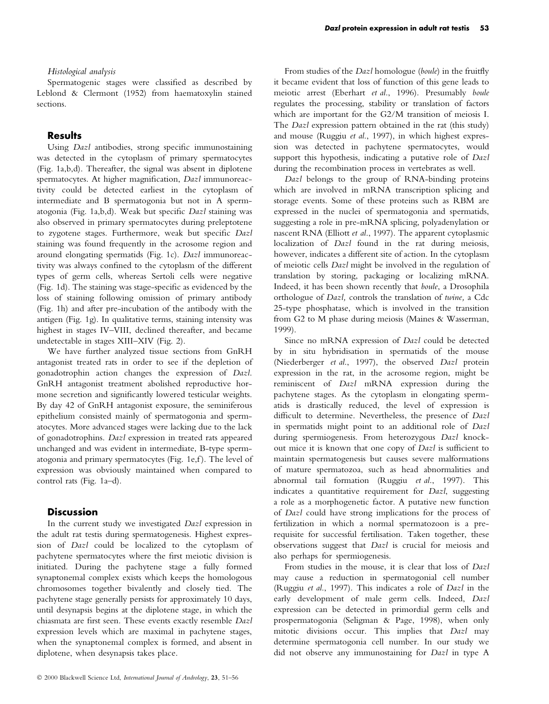## Histological analysis

Spermatogenic stages were classified as described by Leblond & Clermont (1952) from haematoxylin stained sections.

## **Results**

Using *Dazl* antibodies, strong specific immunostaining was detected in the cytoplasm of primary spermatocytes (Fig. 1a,b,d). Thereafter, the signal was absent in diplotene spermatocytes. At higher magnification, Dazl immunoreactivity could be detected earliest in the cytoplasm of intermediate and B spermatogonia but not in A spermatogonia (Fig. 1a,b,d). Weak but specific Dazl staining was also observed in primary spermatocytes during preleptotene to zygotene stages. Furthermore, weak but specific Dazl staining was found frequently in the acrosome region and around elongating spermatids (Fig. 1c). Dazl immunoreactivity was always confined to the cytoplasm of the different types of germ cells, whereas Sertoli cells were negative (Fig. 1d). The staining was stage-specific as evidenced by the loss of staining following omission of primary antibody (Fig. 1h) and after pre-incubation of the antibody with the antigen (Fig. 1g). In qualitative terms, staining intensity was highest in stages IV-VIII, declined thereafter, and became undetectable in stages XIII-XIV (Fig. 2).

We have further analyzed tissue sections from GnRH antagonist treated rats in order to see if the depletion of gonadotrophin action changes the expression of Dazl. GnRH antagonist treatment abolished reproductive hormone secretion and significantly lowered testicular weights. By day 42 of GnRH antagonist exposure, the seminiferous epithelium consisted mainly of spermatogonia and spermatocytes. More advanced stages were lacking due to the lack of gonadotrophins. Dazl expression in treated rats appeared unchanged and was evident in intermediate, B-type spermatogonia and primary spermatocytes (Fig. 1e,f). The level of expression was obviously maintained when compared to control rats (Fig. 1a-d).

## **Discussion**

In the current study we investigated Dazl expression in the adult rat testis during spermatogenesis. Highest expression of Dazl could be localized to the cytoplasm of pachytene spermatocytes where the first meiotic division is initiated. During the pachytene stage a fully formed synaptonemal complex exists which keeps the homologous chromosomes together bivalently and closely tied. The pachytene stage generally persists for approximately 10 days, until desynapsis begins at the diplotene stage, in which the chiasmata are first seen. These events exactly resemble Dazl expression levels which are maximal in pachytene stages, when the synaptonemal complex is formed, and absent in diplotene, when desynapsis takes place.

From studies of the Dazl homologue (boule) in the fruitfly it became evident that loss of function of this gene leads to meiotic arrest (Eberhart et al., 1996). Presumably boule regulates the processing, stability or translation of factors which are important for the G2/M transition of meiosis I. The *Dazl* expression pattern obtained in the rat (this study) and mouse (Ruggiu et al., 1997), in which highest expression was detected in pachytene spermatocytes, would support this hypothesis, indicating a putative role of Dazl during the recombination process in vertebrates as well.

Dazl belongs to the group of RNA-binding proteins which are involved in mRNA transcription splicing and storage events. Some of these proteins such as RBM are expressed in the nuclei of spermatogonia and spermatids, suggesting a role in pre-mRNA splicing, polyadenylation or nascent RNA (Elliott et al., 1997). The apparent cytoplasmic localization of Dazl found in the rat during meiosis, however, indicates a different site of action. In the cytoplasm of meiotic cells Dazl might be involved in the regulation of translation by storing, packaging or localizing mRNA. Indeed, it has been shown recently that boule, a Drosophila orthologue of Dazl, controls the translation of twine, a Cdc 25-type phosphatase, which is involved in the transition from G2 to M phase during meiosis (Maines & Wasserman, 1999).

Since no mRNA expression of Dazl could be detected by in situ hybridisation in spermatids of the mouse (Niederberger et al., 1997), the observed Dazl protein expression in the rat, in the acrosome region, might be reminiscent of Dazl mRNA expression during the pachytene stages. As the cytoplasm in elongating spermatids is drastically reduced, the level of expression is difficult to determine. Nevertheless, the presence of Dazl in spermatids might point to an additional role of Dazl during spermiogenesis. From heterozygous Dazl knockout mice it is known that one copy of Dazl is sufficient to maintain spermatogenesis but causes severe malformations of mature spermatozoa, such as head abnormalities and abnormal tail formation (Ruggiu et al., 1997). This indicates a quantitative requirement for Dazl, suggesting a role as a morphogenetic factor. A putative new function of Dazl could have strong implications for the process of fertilization in which a normal spermatozoon is a prerequisite for successful fertilisation. Taken together, these observations suggest that Dazl is crucial for meiosis and also perhaps for spermiogenesis.

From studies in the mouse, it is clear that loss of Dazl may cause a reduction in spermatogonial cell number (Ruggiu et al., 1997). This indicates a role of Dazl in the early development of male germ cells. Indeed, Dazl expression can be detected in primordial germ cells and prospermatogonia (Seligman & Page, 1998), when only mitotic divisions occur. This implies that Dazl may determine spermatogonia cell number. In our study we did not observe any immunostaining for Dazl in type A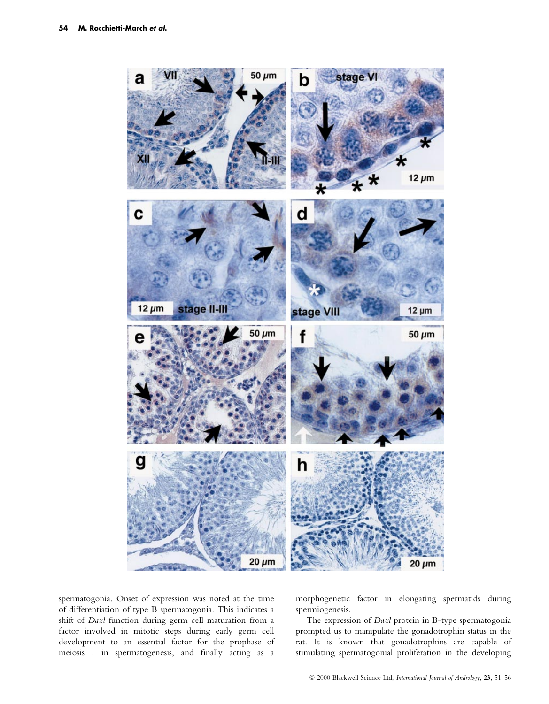

spermatogonia. Onset of expression was noted at the time of differentiation of type B spermatogonia. This indicates a shift of Dazl function during germ cell maturation from a factor involved in mitotic steps during early germ cell development to an essential factor for the prophase of meiosis I in spermatogenesis, and finally acting as a morphogenetic factor in elongating spermatids during spermiogenesis.

The expression of *Dazl* protein in B-type spermatogonia prompted us to manipulate the gonadotrophin status in the rat. It is known that gonadotrophins are capable of stimulating spermatogonial proliferation in the developing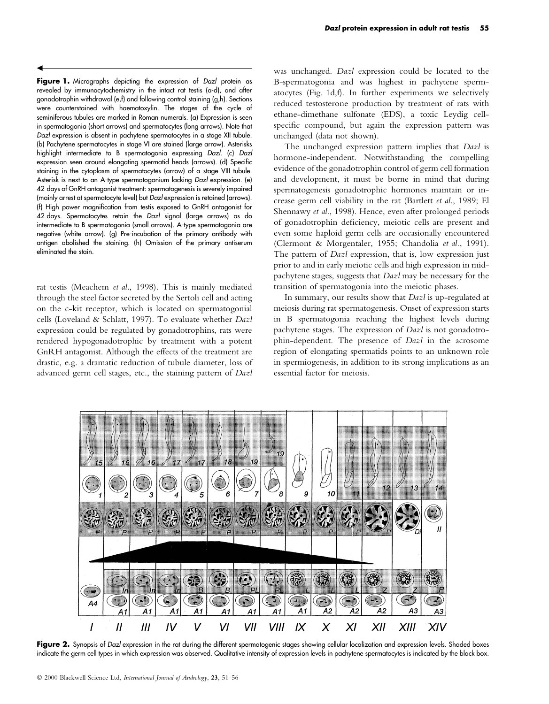Figure 1. Micrographs depicting the expression of Dazl protein as revealed by immunocytochemistry in the intact rat testis (a-d), and after gonadotrophin withdrawal (e,f) and following control staining (g,h). Sections were counterstained with haematoxylin. The stages of the cycle of seminiferous tubules are marked in Roman numerals. (a) Expression is seen in spermatogonia (short arrows) and spermatocytes (long arrows). Note that Dazl expression is absent in pachytene spermatocytes in a stage XII tubule. (b) Pachytene spermatocytes in stage VI are stained (large arrow). Asterisks highlight intermediate to B spermatogonia expressing Dazl. (c) Dazl expression seen around elongating spermatid heads (arrows). (d) Specific staining in the cytoplasm of spermatocytes (arrow) of a stage VIII tubule. Asterisk is next to an A-type spermatogonium lacking Dazl expression. (e) 42 days of GnRH antagonist treatment: spermatogenesis is severely impaired (mainly arrest at spermatocyte level) but Dazl expression is retained (arrows). (f) High power magnification from testis exposed to GnRH antagonist for 42 days. Spermatocytes retain the Dazl signal (large arrows) as do intermediate to B spermatogonia (small arrows). A-type spermatogonia are negative (white arrow). (g) Pre-incubation of the primary antibody with antigen abolished the staining. (h) Omission of the primary antiserum eliminated the stain.

 $\blacktriangleleft$ 

rat testis (Meachem et al., 1998). This is mainly mediated through the steel factor secreted by the Sertoli cell and acting on the c-kit receptor, which is located on spermatogonial cells (Loveland & Schlatt, 1997). To evaluate whether Dazl expression could be regulated by gonadotrophins, rats were rendered hypogonadotrophic by treatment with a potent GnRH antagonist. Although the effects of the treatment are drastic, e.g. a dramatic reduction of tubule diameter, loss of advanced germ cell stages, etc., the staining pattern of Dazl was unchanged. Dazl expression could be located to the B-spermatogonia and was highest in pachytene spermatocytes (Fig. 1d,f). In further experiments we selectively reduced testosterone production by treatment of rats with ethane-dimethane sulfonate (EDS), a toxic Leydig cellspecific compound, but again the expression pattern was unchanged (data not shown).

The unchanged expression pattern implies that Dazl is hormone-independent. Notwithstanding the compelling evidence of the gonadotrophin control of germ cell formation and development, it must be borne in mind that during spermatogenesis gonadotrophic hormones maintain or increase germ cell viability in the rat (Bartlett et al., 1989; El Shennawy et al., 1998). Hence, even after prolonged periods of gonadotrophin deficiency, meiotic cells are present and even some haploid germ cells are occasionally encountered (Clermont & Morgentaler, 1955; Chandolia et al., 1991). The pattern of *Dazl* expression, that is, low expression just prior to and in early meiotic cells and high expression in midpachytene stages, suggests that Dazl may be necessary for the transition of spermatogonia into the meiotic phases.

In summary, our results show that *Dazl* is up-regulated at meiosis during rat spermatogenesis. Onset of expression starts in B spermatogonia reaching the highest levels during pachytene stages. The expression of Dazl is not gonadotrophin-dependent. The presence of Dazl in the acrosome region of elongating spermatids points to an unknown role in spermiogenesis, in addition to its strong implications as an essential factor for meiosis.



Figure 2. Synopsis of Dazl expression in the rat during the different spermatogenic stages showing cellular localization and expression levels. Shaded boxes indicate the germ cell types in which expression was observed. Qualitative intensity of expression levels in pachytene spermatocytes is indicated by the black box.